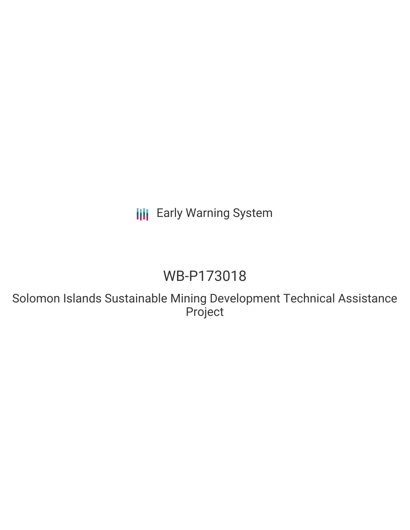# **III** Early Warning System

# WB-P173018

Solomon Islands Sustainable Mining Development Technical Assistance Project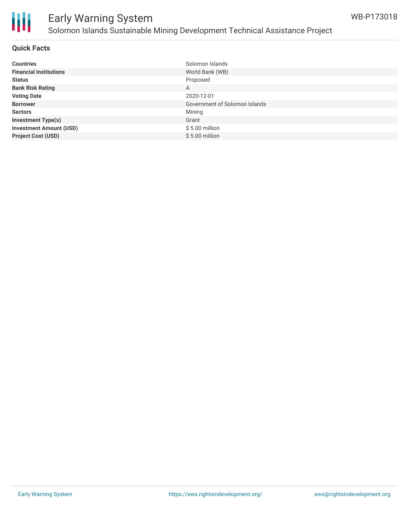

### **Quick Facts**

| <b>Countries</b>               | Solomon Islands               |
|--------------------------------|-------------------------------|
| <b>Financial Institutions</b>  | World Bank (WB)               |
| <b>Status</b>                  | Proposed                      |
| <b>Bank Risk Rating</b>        | A                             |
| <b>Voting Date</b>             | 2020-12-01                    |
| <b>Borrower</b>                | Government of Solomon Islands |
| <b>Sectors</b>                 | Mining                        |
| <b>Investment Type(s)</b>      | Grant                         |
| <b>Investment Amount (USD)</b> | $$5.00$ million               |
| <b>Project Cost (USD)</b>      | $$5.00$ million               |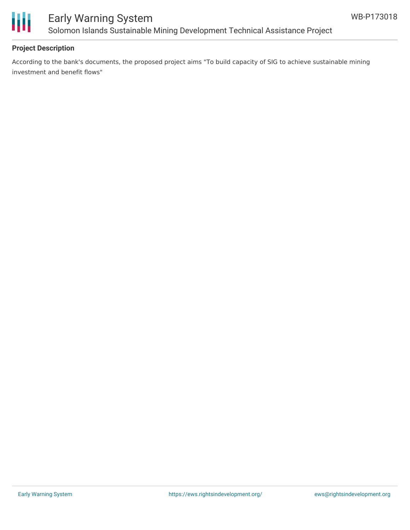

# Early Warning System Solomon Islands Sustainable Mining Development Technical Assistance Project

## **Project Description**

According to the bank's documents, the proposed project aims "To build capacity of SIG to achieve sustainable mining investment and benefit flows"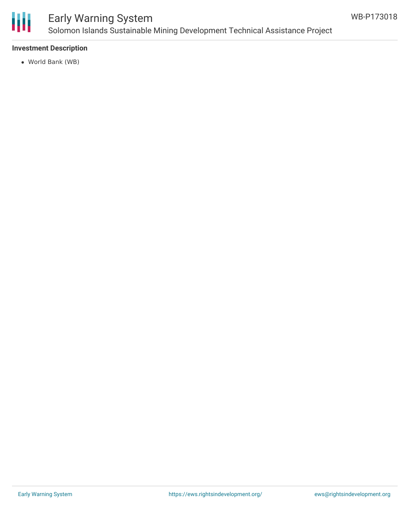

# Early Warning System Solomon Islands Sustainable Mining Development Technical Assistance Project

### **Investment Description**

World Bank (WB)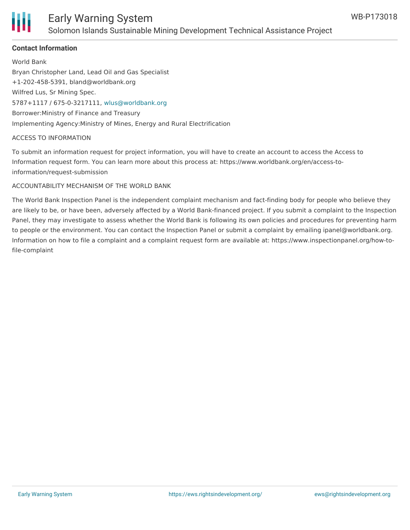

## **Contact Information**

World Bank Bryan Christopher Land, Lead Oil and Gas Specialist +1-202-458-5391, bland@worldbank.org Wilfred Lus, Sr Mining Spec. 5787+1117 / 675-0-3217111, [wlus@worldbank.org](mailto:wlus@worldbank.org) Borrower:Ministry of Finance and Treasury Implementing Agency:Ministry of Mines, Energy and Rural Electrification

#### ACCESS TO INFORMATION

To submit an information request for project information, you will have to create an account to access the Access to Information request form. You can learn more about this process at: https://www.worldbank.org/en/access-toinformation/request-submission

#### ACCOUNTABILITY MECHANISM OF THE WORLD BANK

The World Bank Inspection Panel is the independent complaint mechanism and fact-finding body for people who believe they are likely to be, or have been, adversely affected by a World Bank-financed project. If you submit a complaint to the Inspection Panel, they may investigate to assess whether the World Bank is following its own policies and procedures for preventing harm to people or the environment. You can contact the Inspection Panel or submit a complaint by emailing ipanel@worldbank.org. Information on how to file a complaint and a complaint request form are available at: https://www.inspectionpanel.org/how-tofile-complaint